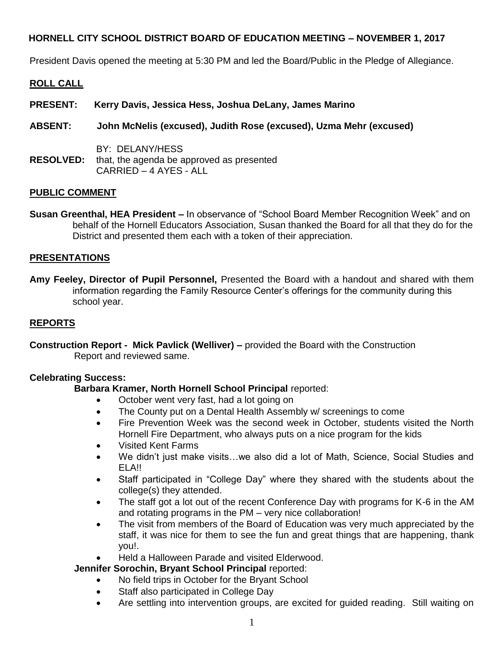President Davis opened the meeting at 5:30 PM and led the Board/Public in the Pledge of Allegiance.

### **ROLL CALL**

- **PRESENT: Kerry Davis, Jessica Hess, Joshua DeLany, James Marino**
- **ABSENT: John McNelis (excused), Judith Rose (excused), Uzma Mehr (excused)**
- BY: DELANY/HESS **RESOLVED:** that, the agenda be approved as presented CARRIED – 4 AYES - ALL

### **PUBLIC COMMENT**

**Susan Greenthal, HEA President –** In observance of "School Board Member Recognition Week" and on behalf of the Hornell Educators Association, Susan thanked the Board for all that they do for the District and presented them each with a token of their appreciation.

### **PRESENTATIONS**

**Amy Feeley, Director of Pupil Personnel,** Presented the Board with a handout and shared with them information regarding the Family Resource Center's offerings for the community during this school year.

### **REPORTS**

**Construction Report - Mick Pavlick (Welliver) –** provided the Board with the Construction Report and reviewed same.

#### **Celebrating Success:**

### **Barbara Kramer, North Hornell School Principal** reported:

- October went very fast, had a lot going on
- The County put on a Dental Health Assembly w/ screenings to come
- Fire Prevention Week was the second week in October, students visited the North Hornell Fire Department, who always puts on a nice program for the kids
- Visited Kent Farms
- We didn't just make visits…we also did a lot of Math, Science, Social Studies and ELA!!
- Staff participated in "College Day" where they shared with the students about the college(s) they attended.
- The staff got a lot out of the recent Conference Day with programs for K-6 in the AM and rotating programs in the PM – very nice collaboration!
- The visit from members of the Board of Education was very much appreciated by the staff, it was nice for them to see the fun and great things that are happening, thank you!.
- Held a Halloween Parade and visited Elderwood.

### **Jennifer Sorochin, Bryant School Principal** reported:

- No field trips in October for the Bryant School
- Staff also participated in College Day
- Are settling into intervention groups, are excited for guided reading. Still waiting on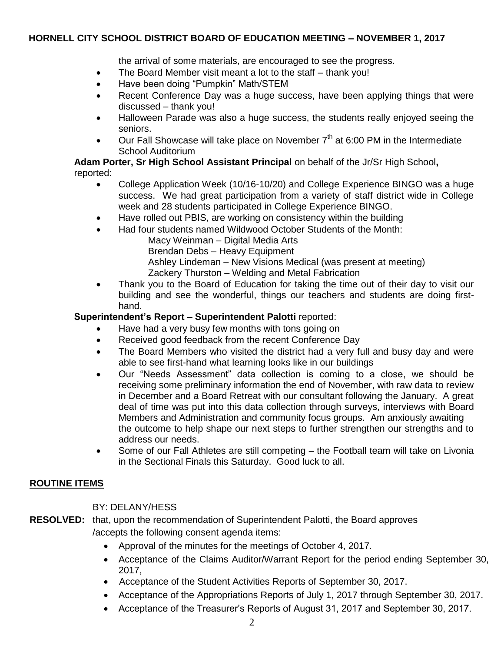the arrival of some materials, are encouraged to see the progress.

- The Board Member visit meant a lot to the staff thank you!
- Have been doing "Pumpkin" Math/STEM
- Recent Conference Day was a huge success, have been applying things that were discussed – thank you!
- Halloween Parade was also a huge success, the students really enjoyed seeing the seniors.
- $\bullet$  Our Fall Showcase will take place on November  $7<sup>th</sup>$  at 6:00 PM in the Intermediate School Auditorium

**Adam Porter, Sr High School Assistant Principal** on behalf of the Jr/Sr High School**,**  reported:

- College Application Week (10/16-10/20) and College Experience BINGO was a huge success. We had great participation from a variety of staff district wide in College week and 28 students participated in College Experience BINGO.
- Have rolled out PBIS, are working on consistency within the building
- Had four students named Wildwood October Students of the Month: Macy Weinman – Digital Media Arts
	- Brendan Debs Heavy Equipment
	- Ashley Lindeman New Visions Medical (was present at meeting)
	- Zackery Thurston Welding and Metal Fabrication
- Thank you to the Board of Education for taking the time out of their day to visit our building and see the wonderful, things our teachers and students are doing firsthand.

# **Superintendent's Report – Superintendent Palotti** reported:

- Have had a very busy few months with tons going on
- Received good feedback from the recent Conference Day
- The Board Members who visited the district had a very full and busy day and were able to see first-hand what learning looks like in our buildings
- Our "Needs Assessment" data collection is coming to a close, we should be receiving some preliminary information the end of November, with raw data to review in December and a Board Retreat with our consultant following the January. A great deal of time was put into this data collection through surveys, interviews with Board Members and Administration and community focus groups. Am anxiously awaiting the outcome to help shape our next steps to further strengthen our strengths and to address our needs.
- Some of our Fall Athletes are still competing the Football team will take on Livonia in the Sectional Finals this Saturday. Good luck to all.

## **ROUTINE ITEMS**

BY: DELANY/HESS

- **RESOLVED:** that, upon the recommendation of Superintendent Palotti, the Board approves /accepts the following consent agenda items:
	- Approval of the minutes for the meetings of October 4, 2017.
	- Acceptance of the Claims Auditor/Warrant Report for the period ending September 30, 2017,
	- Acceptance of the Student Activities Reports of September 30, 2017.
	- Acceptance of the Appropriations Reports of July 1, 2017 through September 30, 2017.
	- Acceptance of the Treasurer's Reports of August 31, 2017 and September 30, 2017.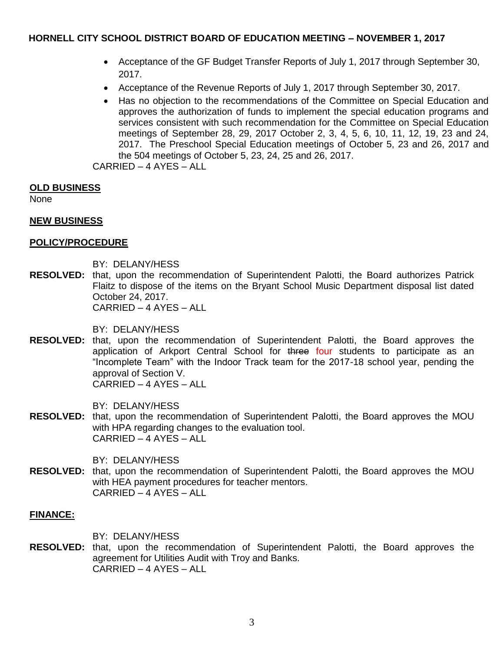- Acceptance of the GF Budget Transfer Reports of July 1, 2017 through September 30, 2017.
- Acceptance of the Revenue Reports of July 1, 2017 through September 30, 2017.
- Has no objection to the recommendations of the Committee on Special Education and approves the authorization of funds to implement the special education programs and services consistent with such recommendation for the Committee on Special Education meetings of September 28, 29, 2017 October 2, 3, 4, 5, 6, 10, 11, 12, 19, 23 and 24, 2017. The Preschool Special Education meetings of October 5, 23 and 26, 2017 and the 504 meetings of October 5, 23, 24, 25 and 26, 2017.

CARRIED – 4 AYES – ALL

### **OLD BUSINESS**

None

### **NEW BUSINESS**

#### **POLICY/PROCEDURE**

BY: DELANY/HESS

**RESOLVED:** that, upon the recommendation of Superintendent Palotti, the Board authorizes Patrick Flaitz to dispose of the items on the Bryant School Music Department disposal list dated October 24, 2017. CARRIED – 4 AYES – ALL

BY: DELANY/HESS

**RESOLVED:** that, upon the recommendation of Superintendent Palotti, the Board approves the application of Arkport Central School for three four students to participate as an "Incomplete Team" with the Indoor Track team for the 2017-18 school year, pending the approval of Section V. CARRIED – 4 AYES – ALL

BY: DELANY/HESS

**RESOLVED:** that, upon the recommendation of Superintendent Palotti, the Board approves the MOU with HPA regarding changes to the evaluation tool. CARRIED – 4 AYES – ALL

BY: DELANY/HESS

**RESOLVED:** that, upon the recommendation of Superintendent Palotti, the Board approves the MOU with HEA payment procedures for teacher mentors. CARRIED – 4 AYES – ALL

#### **FINANCE:**

BY: DELANY/HESS

**RESOLVED:** that, upon the recommendation of Superintendent Palotti, the Board approves the agreement for Utilities Audit with Troy and Banks. CARRIED – 4 AYES – ALL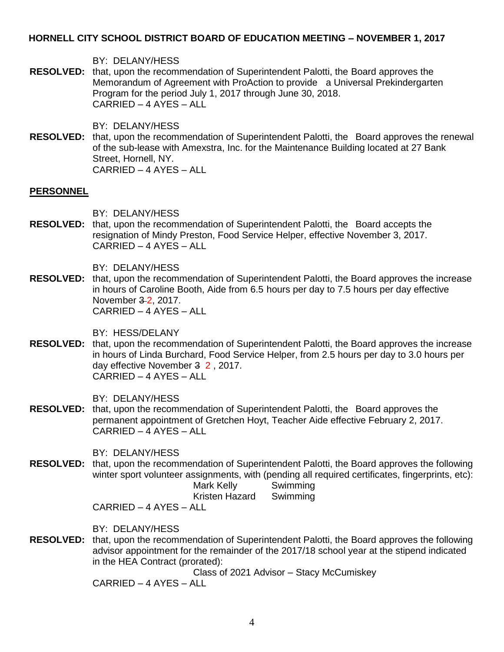BY: DELANY/HESS

**RESOLVED:** that, upon the recommendation of Superintendent Palotti, the Board approves the Memorandum of Agreement with ProAction to provide a Universal Prekindergarten Program for the period July 1, 2017 through June 30, 2018. CARRIED – 4 AYES – ALL

BY: DELANY/HESS

**RESOLVED:** that, upon the recommendation of Superintendent Palotti, the Board approves the renewal of the sub-lease with Amexstra, Inc. for the Maintenance Building located at 27 Bank Street, Hornell, NY. CARRIED – 4 AYES – ALL

#### **PERSONNEL**

BY: DELANY/HESS

**RESOLVED:** that, upon the recommendation of Superintendent Palotti, the Board accepts the resignation of Mindy Preston, Food Service Helper, effective November 3, 2017. CARRIED – 4 AYES – ALL

BY: DELANY/HESS

**RESOLVED:** that, upon the recommendation of Superintendent Palotti, the Board approves the increase in hours of Caroline Booth, Aide from 6.5 hours per day to 7.5 hours per day effective November 3 2, 2017. CARRIED – 4 AYES – ALL

BY: HESS/DELANY

**RESOLVED:** that, upon the recommendation of Superintendent Palotti, the Board approves the increase in hours of Linda Burchard, Food Service Helper, from 2.5 hours per day to 3.0 hours per day effective November 3 2 , 2017. CARRIED – 4 AYES – ALL

BY: DELANY/HESS

**RESOLVED:** that, upon the recommendation of Superintendent Palotti, the Board approves the permanent appointment of Gretchen Hoyt, Teacher Aide effective February 2, 2017. CARRIED – 4 AYES – ALL

BY: DELANY/HESS

**RESOLVED:** that, upon the recommendation of Superintendent Palotti, the Board approves the following winter sport volunteer assignments, with (pending all required certificates, fingerprints, etc): Mark Kelly Swimming

Kristen Hazard Swimming

CARRIED – 4 AYES – ALL

BY: DELANY/HESS

**RESOLVED:** that, upon the recommendation of Superintendent Palotti, the Board approves the following advisor appointment for the remainder of the 2017/18 school year at the stipend indicated in the HEA Contract (prorated):

Class of 2021 Advisor – Stacy McCumiskey CARRIED – 4 AYES – ALL